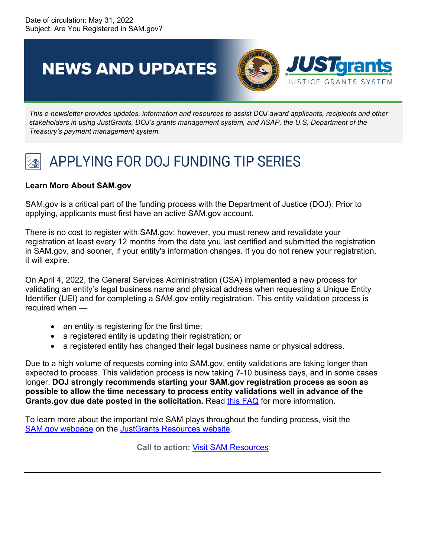**NEWS AND UPDATES** 



*This e-newsletter provides updates, information and resources to assist DOJ award applicants, recipients and other stakeholders in using JustGrants, DOJ's grants management system, and ASAP, the U.S. Department of the Treasury's payment management system.*

## APPLYING FOR DOJ FUNDING TIP SERIES

## **Learn More About SAM.gov**

SAM.gov is a critical part of the funding process with the Department of Justice (DOJ). Prior to applying, applicants must first have an active SAM.gov account.

There is no cost to register with SAM.gov; however, you must renew and revalidate your registration at least every 12 months from the date you last certified and submitted the registration in SAM.gov, and sooner, if your entity's information changes. If you do not renew your registration, it will expire.

On April 4, 2022, the General Services Administration (GSA) implemented a new process for validating an entity's legal business name and physical address when requesting a Unique Entity Identifier (UEI) and for completing a SAM.gov entity registration. This entity validation process is required when —

- an entity is registering for the first time;
- a registered entity is updating their registration; or
- a registered entity has changed their legal business name or physical address.

Due to a high volume of requests coming into SAM.gov, entity validations are taking longer than expected to process. This validation process is now taking 7-10 business days, and in some cases longer. **DOJ strongly recommends starting your SAM.gov registration process as soon as possible to allow the time necessary to process entity validations well in advance of the Grants.gov due date posted in the solicitation.** Read [this FAQ](https://www.fsd.gov/gsafsd_sp?id=kb_article_view&sysparm_article=KB0058422&sys_kb_id=766ace2f1b130dd00944ece0f54bcb4b&spa=1) for more information.

To learn more about the important role SAM plays throughout the funding process, visit the [SAM.gov webpage](https://justicegrants.usdoj.gov/resources/system-for-award-management) on the [JustGrants Resources](https://justicegrants.usdoj.gov/) website.

**Call to action:** Visit SAM [Resources](https://justicegrants.usdoj.gov/resources/system-for-award-management)